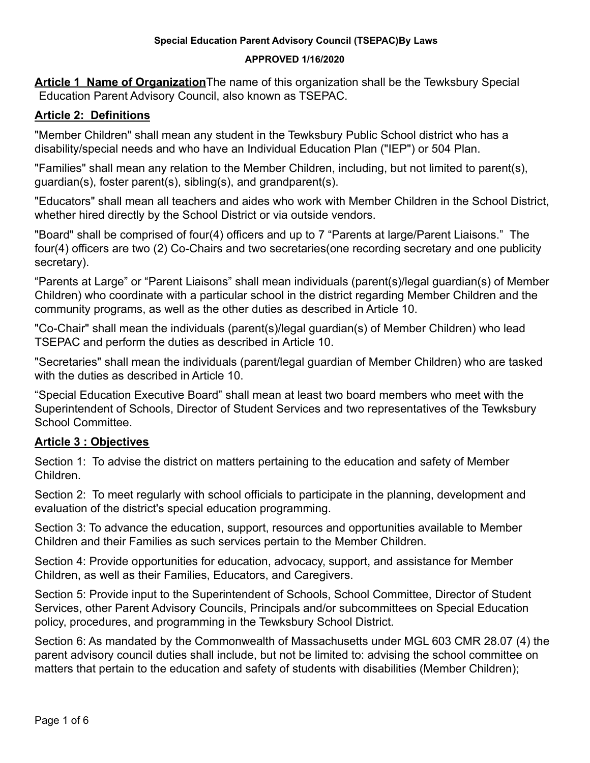### **APPROVED 1/16/2020**

**Article 1 Name of Organization**The name of this organization shall be the Tewksbury Special Education Parent Advisory Council, also known as TSEPAC.

# **Article 2: Definitions**

"Member Children" shall mean any student in the Tewksbury Public School district who has a disability/special needs and who have an Individual Education Plan ("IEP") or 504 Plan.

"Families" shall mean any relation to the Member Children, including, but not limited to parent(s), guardian(s), foster parent(s), sibling(s), and grandparent(s).

"Educators" shall mean all teachers and aides who work with Member Children in the School District, whether hired directly by the School District or via outside vendors.

"Board" shall be comprised of four(4) officers and up to 7 "Parents at large/Parent Liaisons." The four(4) officers are two (2) Co-Chairs and two secretaries(one recording secretary and one publicity secretary).

"Parents at Large" or "Parent Liaisons" shall mean individuals (parent(s)/legal guardian(s) of Member Children) who coordinate with a particular school in the district regarding Member Children and the community programs, as well as the other duties as described in Article 10.

"Co-Chair" shall mean the individuals (parent(s)/legal guardian(s) of Member Children) who lead TSEPAC and perform the duties as described in Article 10.

"Secretaries" shall mean the individuals (parent/legal guardian of Member Children) who are tasked with the duties as described in Article 10.

"Special Education Executive Board" shall mean at least two board members who meet with the Superintendent of Schools, Director of Student Services and two representatives of the Tewksbury School Committee.

# **Article 3 : Objectives**

Section 1: To advise the district on matters pertaining to the education and safety of Member Children.

Section 2: To meet regularly with school officials to participate in the planning, development and evaluation of the district's special education programming.

Section 3: To advance the education, support, resources and opportunities available to Member Children and their Families as such services pertain to the Member Children.

Section 4: Provide opportunities for education, advocacy, support, and assistance for Member Children, as well as their Families, Educators, and Caregivers.

Section 5: Provide input to the Superintendent of Schools, School Committee, Director of Student Services, other Parent Advisory Councils, Principals and/or subcommittees on Special Education policy, procedures, and programming in the Tewksbury School District.

Section 6: As mandated by the Commonwealth of Massachusetts under MGL 603 CMR 28.07 (4) the parent advisory council duties shall include, but not be limited to: advising the school committee on matters that pertain to the education and safety of students with disabilities (Member Children);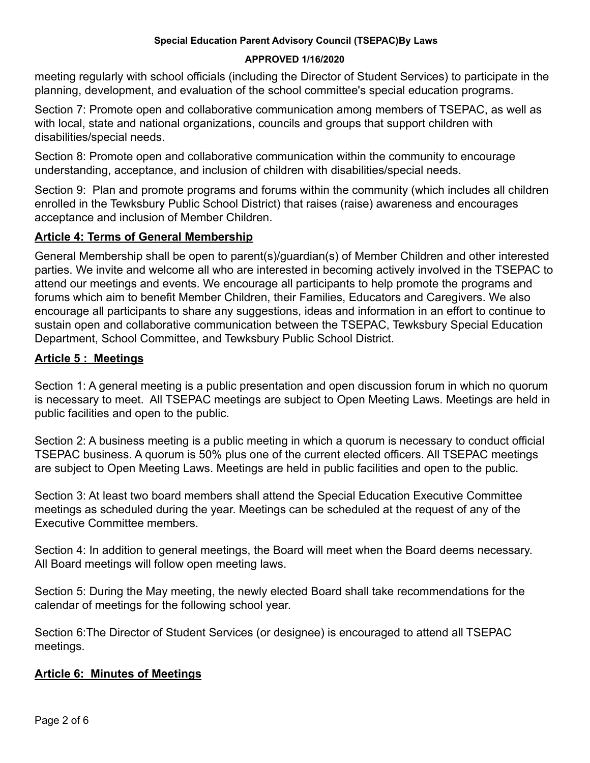#### **APPROVED 1/16/2020**

meeting regularly with school officials (including the Director of Student Services) to participate in the planning, development, and evaluation of the school committee's special education programs.

Section 7: Promote open and collaborative communication among members of TSEPAC, as well as with local, state and national organizations, councils and groups that support children with disabilities/special needs.

Section 8: Promote open and collaborative communication within the community to encourage understanding, acceptance, and inclusion of children with disabilities/special needs.

Section 9: Plan and promote programs and forums within the community (which includes all children enrolled in the Tewksbury Public School District) that raises (raise) awareness and encourages acceptance and inclusion of Member Children.

### **Article 4: Terms of General Membership**

General Membership shall be open to parent(s)/guardian(s) of Member Children and other interested parties. We invite and welcome all who are interested in becoming actively involved in the TSEPAC to attend our meetings and events. We encourage all participants to help promote the programs and forums which aim to benefit Member Children, their Families, Educators and Caregivers. We also encourage all participants to share any suggestions, ideas and information in an effort to continue to sustain open and collaborative communication between the TSEPAC, Tewksbury Special Education Department, School Committee, and Tewksbury Public School District.

## **Article 5 : Meetings**

Section 1: A general meeting is a public presentation and open discussion forum in which no quorum is necessary to meet. All TSEPAC meetings are subject to Open Meeting Laws. Meetings are held in public facilities and open to the public.

Section 2: A business meeting is a public meeting in which a quorum is necessary to conduct official TSEPAC business. A quorum is 50% plus one of the current elected officers. All TSEPAC meetings are subject to Open Meeting Laws. Meetings are held in public facilities and open to the public.

Section 3: At least two board members shall attend the Special Education Executive Committee meetings as scheduled during the year. Meetings can be scheduled at the request of any of the Executive Committee members.

Section 4: In addition to general meetings, the Board will meet when the Board deems necessary. All Board meetings will follow open meeting laws.

Section 5: During the May meeting, the newly elected Board shall take recommendations for the calendar of meetings for the following school year.

Section 6:The Director of Student Services (or designee) is encouraged to attend all TSEPAC meetings.

#### **Article 6: Minutes of Meetings**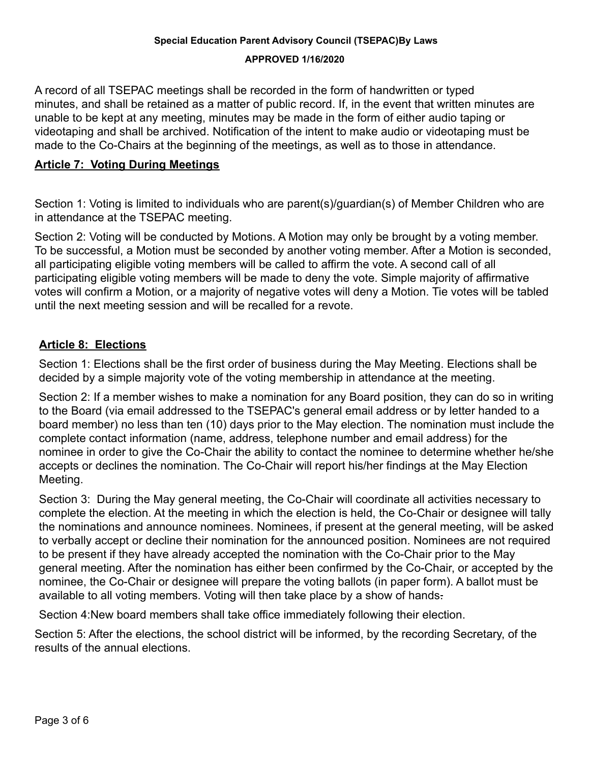#### **APPROVED 1/16/2020**

A record of all TSEPAC meetings shall be recorded in the form of handwritten or typed minutes, and shall be retained as a matter of public record. If, in the event that written minutes are unable to be kept at any meeting, minutes may be made in the form of either audio taping or videotaping and shall be archived. Notification of the intent to make audio or videotaping must be made to the Co-Chairs at the beginning of the meetings, as well as to those in attendance.

## **Article 7: Voting During Meetings**

Section 1: Voting is limited to individuals who are parent(s)/guardian(s) of Member Children who are in attendance at the TSEPAC meeting.

Section 2: Voting will be conducted by Motions. A Motion may only be brought by a voting member. To be successful, a Motion must be seconded by another voting member. After a Motion is seconded, all participating eligible voting members will be called to affirm the vote. A second call of all participating eligible voting members will be made to deny the vote. Simple majority of affirmative votes will confirm a Motion, or a majority of negative votes will deny a Motion. Tie votes will be tabled until the next meeting session and will be recalled for a revote.

## **Article 8: Elections**

Section 1: Elections shall be the first order of business during the May Meeting. Elections shall be decided by a simple majority vote of the voting membership in attendance at the meeting.

Section 2: If a member wishes to make a nomination for any Board position, they can do so in writing to the Board (via email addressed to the TSEPAC's general email address or by letter handed to a board member) no less than ten (10) days prior to the May election. The nomination must include the complete contact information (name, address, telephone number and email address) for the nominee in order to give the Co-Chair the ability to contact the nominee to determine whether he/she accepts or declines the nomination. The Co-Chair will report his/her findings at the May Election Meeting.

Section 3: During the May general meeting, the Co-Chair will coordinate all activities necessary to complete the election. At the meeting in which the election is held, the Co-Chair or designee will tally the nominations and announce nominees. Nominees, if present at the general meeting, will be asked to verbally accept or decline their nomination for the announced position. Nominees are not required to be present if they have already accepted the nomination with the Co-Chair prior to the May general meeting. After the nomination has either been confirmed by the Co-Chair, or accepted by the nominee, the Co-Chair or designee will prepare the voting ballots (in paper form). A ballot must be available to all voting members. Voting will then take place by a show of hands-

Section 4:New board members shall take office immediately following their election.

Section 5: After the elections, the school district will be informed, by the recording Secretary, of the results of the annual elections.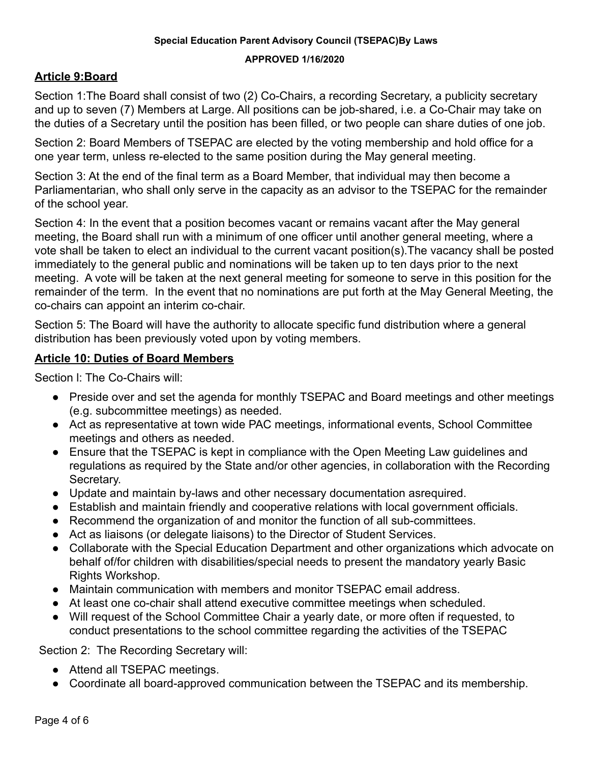#### **APPROVED 1/16/2020**

## **Article 9:Board**

Section 1:The Board shall consist of two (2) Co-Chairs, a recording Secretary, a publicity secretary and up to seven (7) Members at Large. All positions can be job-shared, i.e. a Co-Chair may take on the duties of a Secretary until the position has been filled, or two people can share duties of one job.

Section 2: Board Members of TSEPAC are elected by the voting membership and hold office for a one year term, unless re-elected to the same position during the May general meeting.

Section 3: At the end of the final term as a Board Member, that individual may then become a Parliamentarian, who shall only serve in the capacity as an advisor to the TSEPAC for the remainder of the school year.

Section 4: In the event that a position becomes vacant or remains vacant after the May general meeting, the Board shall run with a minimum of one officer until another general meeting, where a vote shall be taken to elect an individual to the current vacant position(s).The vacancy shall be posted immediately to the general public and nominations will be taken up to ten days prior to the next meeting. A vote will be taken at the next general meeting for someone to serve in this position for the remainder of the term. In the event that no nominations are put forth at the May General Meeting, the co-chairs can appoint an interim co-chair.

Section 5: The Board will have the authority to allocate specific fund distribution where a general distribution has been previously voted upon by voting members.

## **Article 10: Duties of Board Members**

Section l: The Co-Chairs will:

- Preside over and set the agenda for monthly TSEPAC and Board meetings and other meetings (e.g. subcommittee meetings) as needed.
- Act as representative at town wide PAC meetings, informational events, School Committee meetings and others as needed.
- Ensure that the TSEPAC is kept in compliance with the Open Meeting Law quidelines and regulations as required by the State and/or other agencies, in collaboration with the Recording Secretary.
- Update and maintain by-laws and other necessary documentation asrequired.
- Establish and maintain friendly and cooperative relations with local government officials.
- Recommend the organization of and monitor the function of all sub-committees.
- Act as liaisons (or delegate liaisons) to the Director of Student Services.
- Collaborate with the Special Education Department and other organizations which advocate on behalf of/for children with disabilities/special needs to present the mandatory yearly Basic Rights Workshop.
- Maintain communication with members and monitor TSEPAC email address.
- At least one co-chair shall attend executive committee meetings when scheduled.
- Will request of the School Committee Chair a yearly date, or more often if requested, to conduct presentations to the school committee regarding the activities of the TSEPAC

Section 2: The Recording Secretary will:

- Attend all TSEPAC meetings.
- Coordinate all board-approved communication between the TSEPAC and its membership.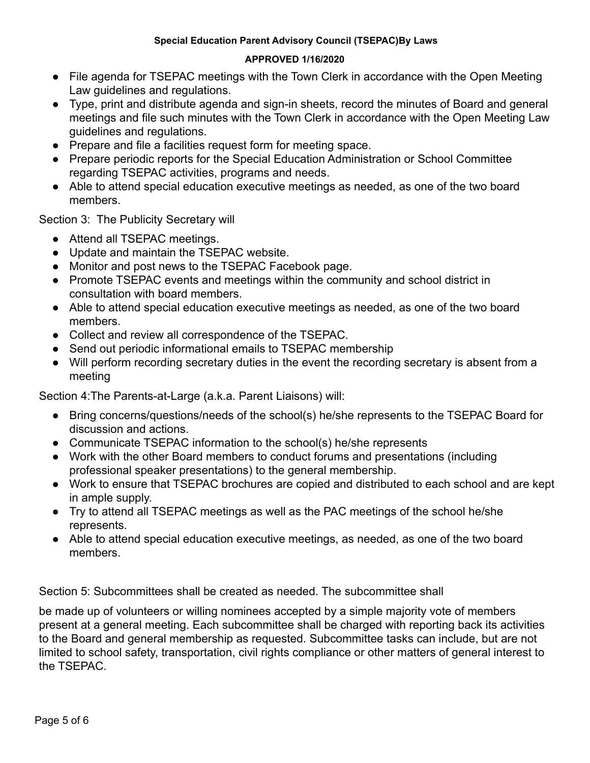#### **APPROVED 1/16/2020**

- File agenda for TSEPAC meetings with the Town Clerk in accordance with the Open Meeting Law guidelines and regulations.
- Type, print and distribute agenda and sign-in sheets, record the minutes of Board and general meetings and file such minutes with the Town Clerk in accordance with the Open Meeting Law guidelines and regulations.
- Prepare and file a facilities request form for meeting space.
- Prepare periodic reports for the Special Education Administration or School Committee regarding TSEPAC activities, programs and needs.
- Able to attend special education executive meetings as needed, as one of the two board members.

Section 3: The Publicity Secretary will

- Attend all TSEPAC meetings.
- Update and maintain the TSEPAC website.
- Monitor and post news to the TSEPAC Facebook page.
- Promote TSEPAC events and meetings within the community and school district in consultation with board members.
- Able to attend special education executive meetings as needed, as one of the two board members.
- Collect and review all correspondence of the TSEPAC.
- Send out periodic informational emails to TSEPAC membership
- Will perform recording secretary duties in the event the recording secretary is absent from a meeting

Section 4:The Parents-at-Large (a.k.a. Parent Liaisons) will:

- Bring concerns/questions/needs of the school(s) he/she represents to the TSEPAC Board for discussion and actions.
- Communicate TSEPAC information to the school(s) he/she represents
- Work with the other Board members to conduct forums and presentations (including professional speaker presentations) to the general membership.
- Work to ensure that TSEPAC brochures are copied and distributed to each school and are kept in ample supply.
- Try to attend all TSEPAC meetings as well as the PAC meetings of the school he/she represents.
- Able to attend special education executive meetings, as needed, as one of the two board members.

Section 5: Subcommittees shall be created as needed. The subcommittee shall

be made up of volunteers or willing nominees accepted by a simple majority vote of members present at a general meeting. Each subcommittee shall be charged with reporting back its activities to the Board and general membership as requested. Subcommittee tasks can include, but are not limited to school safety, transportation, civil rights compliance or other matters of general interest to the TSEPAC.